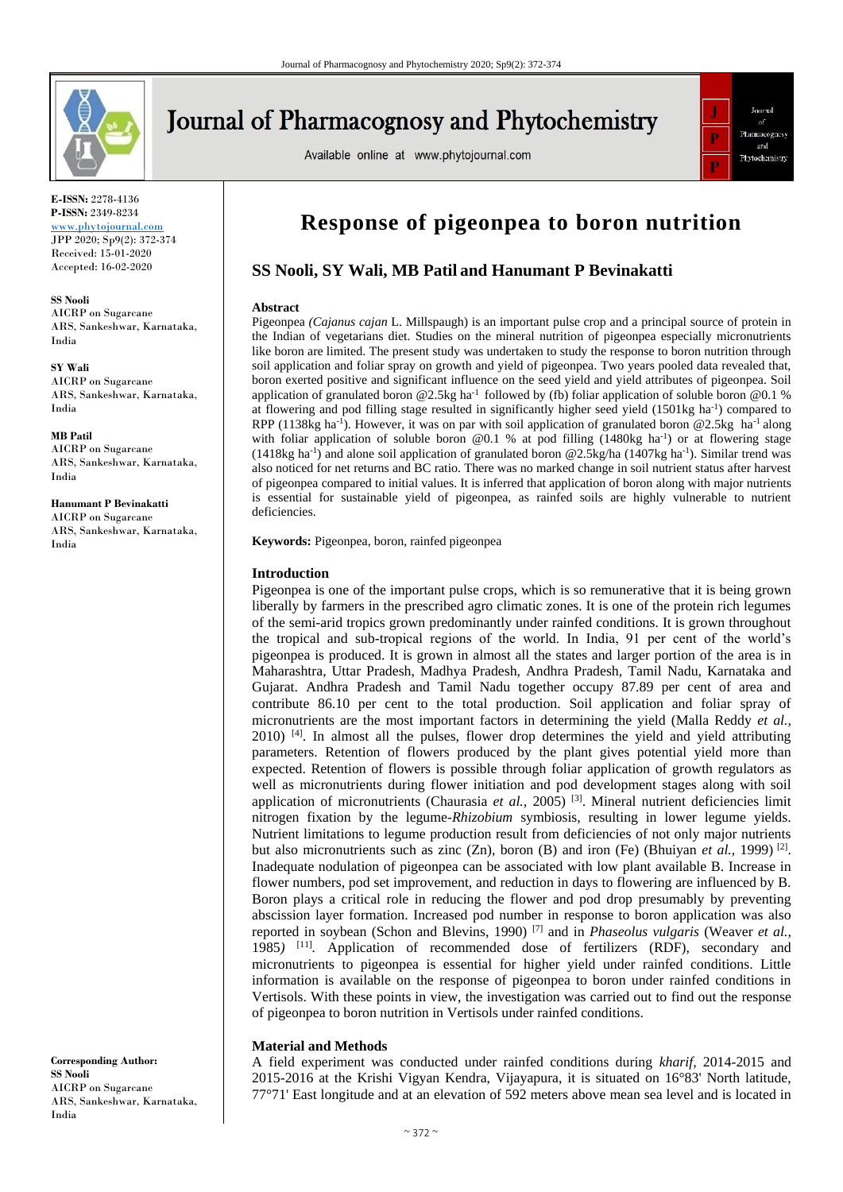

# **Journal of Pharmacognosy and Phytochemistry**

Available online at www.phytojournal.com



**E-ISSN:** 2278-4136 **P-ISSN:** 2349-8234

<www.phytojournal.com> JPP 2020; Sp9(2): 372-374 Received: 15-01-2020 Accepted: 16-02-2020

**SS Nooli** AICRP on Sugarcane ARS, Sankeshwar, Karnataka, India

**SY Wali** AICRP on Sugarcane ARS, Sankeshwar, Karnataka, India

**MB Patil** AICRP on Sugarcane ARS, Sankeshwar, Karnataka, India

**Hanumant P Bevinakatti** AICRP on Sugarcane

ARS, Sankeshwar, Karnataka, India

**Corresponding Author: SS Nooli** AICRP on Sugarcane ARS, Sankeshwar, Karnataka, India

## **Response of pigeonpea to boron nutrition**

### **SS Nooli, SY Wali, MB Patil and Hanumant P Bevinakatti**

#### **Abstract**

Pigeonpea *(Cajanus cajan* L. Millspaugh) is an important pulse crop and a principal source of protein in the Indian of vegetarians diet. Studies on the mineral nutrition of pigeonpea especially micronutrients like boron are limited. The present study was undertaken to study the response to boron nutrition through soil application and foliar spray on growth and yield of pigeonpea. Two years pooled data revealed that, boron exerted positive and significant influence on the seed yield and yield attributes of pigeonpea. Soil application of granulated boron @2.5kg ha<sup>-1</sup> followed by (fb) foliar application of soluble boron @0.1 % at flowering and pod filling stage resulted in significantly higher seed yield (1501kg ha<sup>-1</sup>) compared to RPP (1138kg ha<sup>-1</sup>). However, it was on par with soil application of granulated boron @2.5kg ha<sup>-1</sup> along with foliar application of soluble boron  $@0.1$  % at pod filling (1480kg ha<sup>-1</sup>) or at flowering stage  $(1418\text{kg} \text{ ha}^{-1})$  and alone soil application of granulated boron @2.5kg/ha  $(1407\text{kg} \text{ ha}^{-1})$ . Similar trend was also noticed for net returns and BC ratio. There was no marked change in soil nutrient status after harvest of pigeonpea compared to initial values. It is inferred that application of boron along with major nutrients is essential for sustainable yield of pigeonpea, as rainfed soils are highly vulnerable to nutrient deficiencies.

**Keywords:** Pigeonpea, boron, rainfed pigeonpea

#### **Introduction**

Pigeonpea is one of the important pulse crops, which is so remunerative that it is being grown liberally by farmers in the prescribed agro climatic zones. It is one of the protein rich legumes of the semi-arid tropics grown predominantly under rainfed conditions. It is grown throughout the tropical and sub-tropical regions of the world. In India, 91 per cent of the world's pigeonpea is produced. It is grown in almost all the states and larger portion of the area is in Maharashtra, Uttar Pradesh, Madhya Pradesh, Andhra Pradesh, Tamil Nadu, Karnataka and Gujarat. Andhra Pradesh and Tamil Nadu together occupy 87.89 per cent of area and contribute 86.10 per cent to the total production. Soil application and foliar spray of micronutrients are the most important factors in determining the yield (Malla Reddy *et al.,*   $2010$ <sup>[4]</sup>. In almost all the pulses, flower drop determines the yield and yield attributing parameters. Retention of flowers produced by the plant gives potential yield more than expected. Retention of flowers is possible through foliar application of growth regulators as well as micronutrients during flower initiation and pod development stages along with soil application of micronutrients (Chaurasia *et al.*, 2005)<sup>[3]</sup>. Mineral nutrient deficiencies limit nitrogen fixation by the legume-*Rhizobium* symbiosis, resulting in lower legume yields. Nutrient limitations to legume production result from deficiencies of not only major nutrients but also micronutrients such as zinc  $(Zn)$ , boron  $(B)$  and iron  $(Fe)$  (Bhuiyan *et al.*, 1999)<sup>[2]</sup>. Inadequate nodulation of pigeonpea can be associated with low plant available B. Increase in flower numbers, pod set improvement, and reduction in days to flowering are influenced by B. Boron plays a critical role in reducing the flower and pod drop presumably by preventing abscission layer formation. Increased pod number in response to boron application was also reported in soybean (Schon and Blevins, 1990) [7] and in *Phaseolus vulgaris* (Weaver *et al.,*  1985*)* [11] *.* Application of recommended dose of fertilizers (RDF), secondary and micronutrients to pigeonpea is essential for higher yield under rainfed conditions. Little information is available on the response of pigeonpea to boron under rainfed conditions in Vertisols. With these points in view, the investigation was carried out to find out the response of pigeonpea to boron nutrition in Vertisols under rainfed conditions.

#### **Material and Methods**

A field experiment was conducted under rainfed conditions during *kharif,* 2014-2015 and 2015-2016 at the Krishi Vigyan Kendra, Vijayapura, it is situated on 16°83' North latitude, 77°71' East longitude and at an elevation of 592 meters above mean sea level and is located in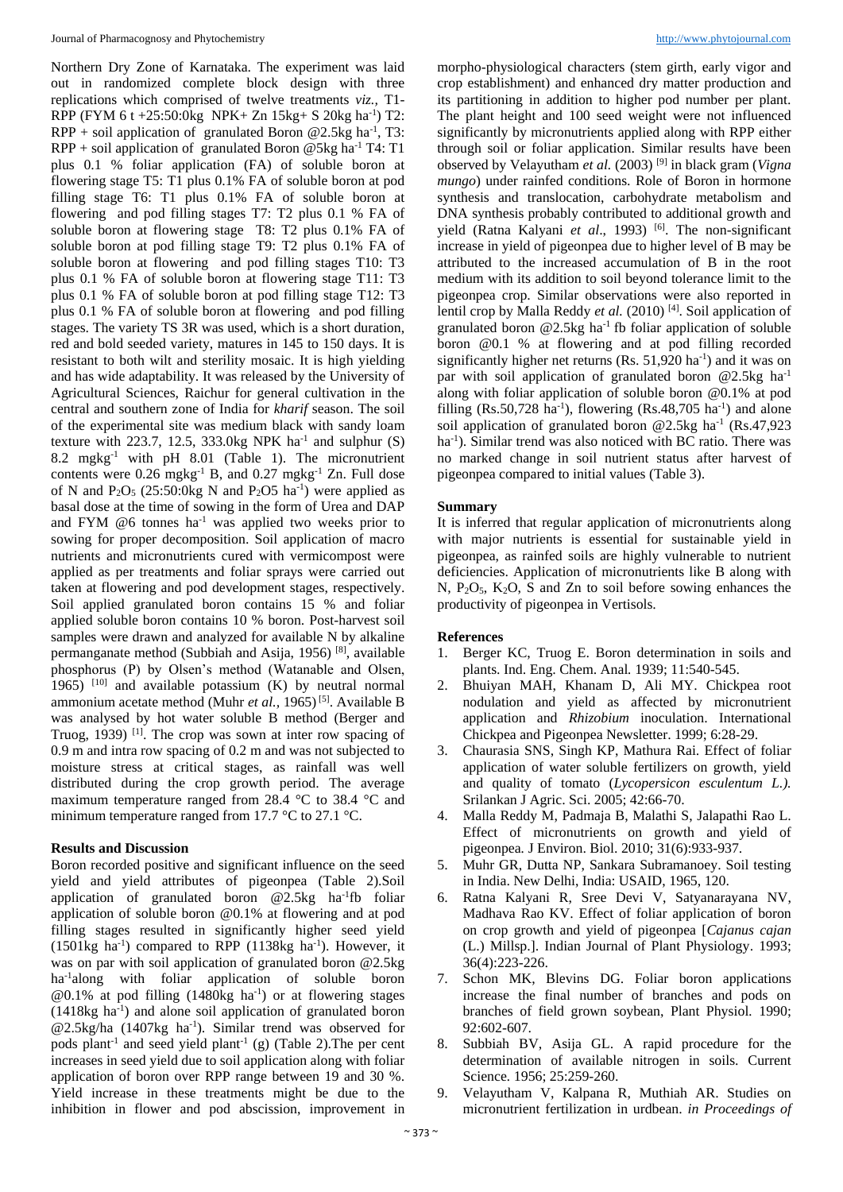Northern Dry Zone of Karnataka. The experiment was laid out in randomized complete block design with three replications which comprised of twelve treatments *viz.,* T1- RPP (FYM 6 t +25:50:0kg NPK+ Zn 15kg+ S 20kg ha<sup>-1</sup>) T2:  $RPP + soil application of granulated Boron @ 2.5kg ha<sup>-1</sup>, T3:$  $RPP + soil application of granulated Boron @5kg ha<sup>-1</sup> T4: T1$ plus 0.1 % foliar application (FA) of soluble boron at flowering stage T5: T1 plus 0.1% FA of soluble boron at pod filling stage T6: T1 plus 0.1% FA of soluble boron at flowering and pod filling stages T7: T2 plus 0.1 % FA of soluble boron at flowering stage T8: T2 plus 0.1% FA of soluble boron at pod filling stage T9: T2 plus 0.1% FA of soluble boron at flowering and pod filling stages T10: T3 plus 0.1 % FA of soluble boron at flowering stage T11: T3 plus 0.1 % FA of soluble boron at pod filling stage T12: T3 plus 0.1 % FA of soluble boron at flowering and pod filling stages. The variety TS 3R was used, which is a short duration, red and bold seeded variety, matures in 145 to 150 days. It is resistant to both wilt and sterility mosaic. It is high yielding and has wide adaptability. It was released by the University of Agricultural Sciences, Raichur for general cultivation in the central and southern zone of India for *kharif* season. The soil of the experimental site was medium black with sandy loam texture with  $223.7$ ,  $12.5$ ,  $333.0$ kg NPK ha<sup>-1</sup> and sulphur  $(S)$ 8.2 mgkg-1 with pH 8.01 (Table 1). The micronutrient contents were  $0.26 \text{ m}$ gkg<sup>-1</sup> B, and  $0.27 \text{ m}$ gkg<sup>-1</sup> Zn. Full dose of N and  $P_2O_5$  (25:50:0kg N and  $P_2O5$  ha<sup>-1</sup>) were applied as basal dose at the time of sowing in the form of Urea and DAP and FYM  $@6$  tonnes ha<sup>-1</sup> was applied two weeks prior to sowing for proper decomposition. Soil application of macro nutrients and micronutrients cured with vermicompost were applied as per treatments and foliar sprays were carried out taken at flowering and pod development stages, respectively. Soil applied granulated boron contains 15 % and foliar applied soluble boron contains 10 % boron. Post-harvest soil samples were drawn and analyzed for available N by alkaline permanganate method (Subbiah and Asija, 1956) [8], available phosphorus (P) by Olsen's method (Watanable and Olsen, 1965) [10] and available potassium (K) by neutral normal ammonium acetate method (Muhr et al., 1965)<sup>[5]</sup>. Available B was analysed by hot water soluble B method (Berger and Truog, 1939) [1]. The crop was sown at inter row spacing of 0.9 m and intra row spacing of 0.2 m and was not subjected to moisture stress at critical stages, as rainfall was well distributed during the crop growth period. The average maximum temperature ranged from 28.4 °C to 38.4 °C and minimum temperature ranged from 17.7 °C to 27.1 °C.

#### **Results and Discussion**

Boron recorded positive and significant influence on the seed yield and yield attributes of pigeonpea (Table 2).Soil application of granulated boron @2.5kg ha-1 fb foliar application of soluble boron @0.1% at flowering and at pod filling stages resulted in significantly higher seed yield  $(1501\text{kg} \text{ha}^{-1})$  compared to RPP  $(1138\text{kg} \text{ha}^{-1})$ . However, it was on par with soil application of granulated boron @2.5kg ha-1 along with foliar application of soluble boron @0.1% at pod filling (1480kg ha<sup>-1</sup>) or at flowering stages (1418kg ha-1 ) and alone soil application of granulated boron @2.5kg/ha (1407kg ha<sup>-1</sup>). Similar trend was observed for pods plant<sup>-1</sup> and seed yield plant<sup>-1</sup> (g) (Table 2). The per cent increases in seed yield due to soil application along with foliar application of boron over RPP range between 19 and 30 %. Yield increase in these treatments might be due to the inhibition in flower and pod abscission, improvement in

morpho-physiological characters (stem girth, early vigor and crop establishment) and enhanced dry matter production and its partitioning in addition to higher pod number per plant. The plant height and 100 seed weight were not influenced significantly by micronutrients applied along with RPP either through soil or foliar application. Similar results have been observed by Velayutham *et al.* (2003) [9] in black gram (*Vigna mungo*) under rainfed conditions. Role of Boron in hormone synthesis and translocation, carbohydrate metabolism and DNA synthesis probably contributed to additional growth and yield (Ratna Kalyani et al., 1993)<sup>[6]</sup>. The non-significant increase in yield of pigeonpea due to higher level of B may be attributed to the increased accumulation of B in the root medium with its addition to soil beyond tolerance limit to the pigeonpea crop. Similar observations were also reported in lentil crop by Malla Reddy et al. (2010)<sup>[4]</sup>. Soil application of granulated boron  $@2.5kg$  ha<sup>-1</sup> fb foliar application of soluble boron @0.1 % at flowering and at pod filling recorded significantly higher net returns  $(Rs. 51,920 \text{ ha}^{-1})$  and it was on par with soil application of granulated boron @2.5kg ha-1 along with foliar application of soluble boron @0.1% at pod filling  $(Rs.50,728 \text{ ha}^{-1})$ , flowering  $(Rs.48,705 \text{ ha}^{-1})$  and alone soil application of granulated boron @2.5kg ha<sup>-1</sup> (Rs.47,923) ha<sup>-1</sup>). Similar trend was also noticed with BC ratio. There was no marked change in soil nutrient status after harvest of pigeonpea compared to initial values (Table 3).

#### **Summary**

It is inferred that regular application of micronutrients along with major nutrients is essential for sustainable yield in pigeonpea, as rainfed soils are highly vulnerable to nutrient deficiencies. Application of micronutrients like B along with N,  $P_2O_5$ ,  $K_2O$ , S and Zn to soil before sowing enhances the productivity of pigeonpea in Vertisols.

#### **References**

- 1. Berger KC, Truog E. Boron determination in soils and plants. Ind. Eng. Chem. Anal*.* 1939; 11:540-545.
- 2. Bhuiyan MAH, Khanam D, Ali MY. Chickpea root nodulation and yield as affected by micronutrient application and *Rhizobium* inoculation. International Chickpea and Pigeonpea Newsletter. 1999; 6:28-29.
- 3. Chaurasia SNS, Singh KP, Mathura Rai. Effect of foliar application of water soluble fertilizers on growth, yield and quality of tomato (*Lycopersicon esculentum L.).* Srilankan J Agric. Sci. 2005; 42:66-70.
- 4. Malla Reddy M, Padmaja B, Malathi S, Jalapathi Rao L. Effect of micronutrients on growth and yield of pigeonpea*.* J Environ. Biol. 2010; 31(6):933-937.
- 5. Muhr GR, Dutta NP, Sankara Subramanoey. Soil testing in India. New Delhi, India: USAID, 1965, 120.
- 6. Ratna Kalyani R, Sree Devi V, Satyanarayana NV, Madhava Rao KV. Effect of foliar application of boron on crop growth and yield of pigeonpea [*Cajanus cajan*  (L.) Millsp.]. Indian Journal of Plant Physiology. 1993; 36(4):223-226.
- 7. Schon MK, Blevins DG. Foliar boron applications increase the final number of branches and pods on branches of field grown soybean, Plant Physiol*.* 1990; 92:602-607.
- 8. Subbiah BV, Asija GL. A rapid procedure for the determination of available nitrogen in soils. Current Science*.* 1956; 25:259-260.
- 9. Velayutham V, Kalpana R, Muthiah AR. Studies on micronutrient fertilization in urdbean. *in Proceedings of*